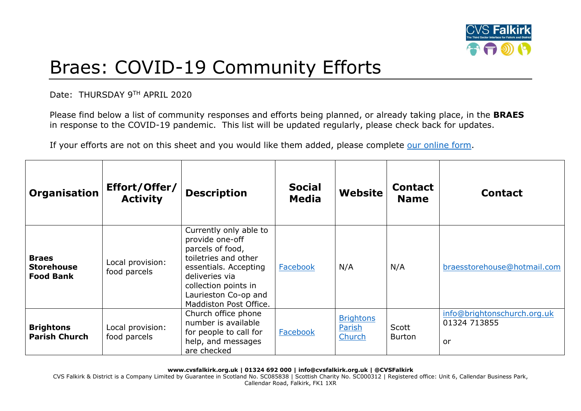

## Braes: COVID-19 Community Efforts

Date: THURSDAY 9TH APRIL 2020

Please find below a list of community responses and efforts being planned, or already taking place, in the **BRAES** in response to the COVID-19 pandemic. This list will be updated regularly, please check back for updates.

If your efforts are not on this sheet and you would like them added, please complete [our online form.](https://forms.office.com/Pages/ResponsePage.aspx?id=6VEZaLCW4EefTnjqs1GaupRwm5MIeS1HoQIx_4VQsBJUODFFNjQ4S0YzN0tIODdPOUJWTTJFNkg2QS4u)

| <b>Organisation</b>                                   | Effort/Offer/<br><b>Activity</b> | <b>Description</b>                                                                                                                                                                                         | <b>Social</b><br><b>Media</b> | Website                              | <b>Contact</b><br><b>Name</b> | <b>Contact</b>                                    |
|-------------------------------------------------------|----------------------------------|------------------------------------------------------------------------------------------------------------------------------------------------------------------------------------------------------------|-------------------------------|--------------------------------------|-------------------------------|---------------------------------------------------|
| <b>Braes</b><br><b>Storehouse</b><br><b>Food Bank</b> | Local provision:<br>food parcels | Currently only able to<br>provide one-off<br>parcels of food,<br>toiletries and other<br>essentials. Accepting<br>deliveries via<br>collection points in<br>Laurieston Co-op and<br>Maddiston Post Office. | Facebook                      | N/A                                  | N/A                           | braesstorehouse@hotmail.com                       |
| <b>Brightons</b><br><b>Parish Church</b>              | Local provision:<br>food parcels | Church office phone<br>number is available<br>for people to call for<br>help, and messages<br>are checked                                                                                                  | Facebook                      | <b>Brightons</b><br>Parish<br>Church | Scott<br><b>Burton</b>        | info@brightonschurch.org.uk<br>01324 713855<br>or |

**www.cvsfalkirk.org.uk | 01324 692 000 | info@cvsfalkirk.org.uk | @CVSFalkirk**

CVS Falkirk & District is a Company Limited by Guarantee in Scotland No. SC085838 | Scottish Charity No. SC000312 | Registered office: Unit 6, Callendar Business Park, Callendar Road, Falkirk, FK1 1XR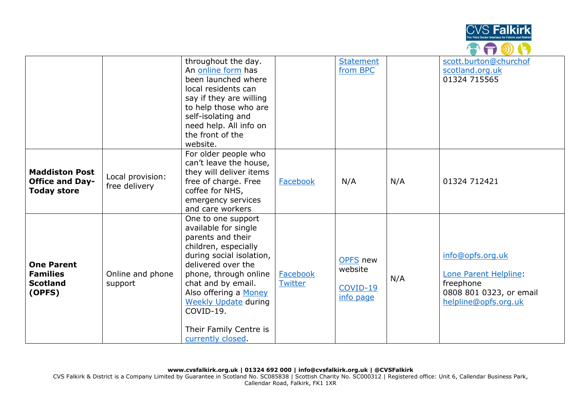

|                                                                       |                                   | throughout the day.<br>An online form has<br>been launched where<br>local residents can<br>say if they are willing<br>to help those who are<br>self-isolating and<br>need help. All info on<br>the front of the<br>website.                                                                                  |                     | <b>Statement</b><br>from BPC                 |     | scott.burton@churchof<br>scotland.org.uk<br>01324 715565                                                  |
|-----------------------------------------------------------------------|-----------------------------------|--------------------------------------------------------------------------------------------------------------------------------------------------------------------------------------------------------------------------------------------------------------------------------------------------------------|---------------------|----------------------------------------------|-----|-----------------------------------------------------------------------------------------------------------|
| <b>Maddiston Post</b><br><b>Office and Day-</b><br><b>Today store</b> | Local provision:<br>free delivery | For older people who<br>can't leave the house,<br>they will deliver items<br>free of charge. Free<br>coffee for NHS,<br>emergency services<br>and care workers                                                                                                                                               | Facebook            | N/A                                          | N/A | 01324 712421                                                                                              |
| <b>One Parent</b><br><b>Families</b><br><b>Scotland</b><br>(OPFS)     | Online and phone<br>support       | One to one support<br>available for single<br>parents and their<br>children, especially<br>during social isolation,<br>delivered over the<br>phone, through online<br>chat and by email.<br>Also offering a Money<br><b>Weekly Update during</b><br>COVID-19.<br>Their Family Centre is<br>currently closed. | Facebook<br>Twitter | OPFS new<br>website<br>COVID-19<br>info page | N/A | info@opfs.org.uk<br>Lone Parent Helpline:<br>freephone<br>0808 801 0323, or email<br>helpline@opfs.org.uk |